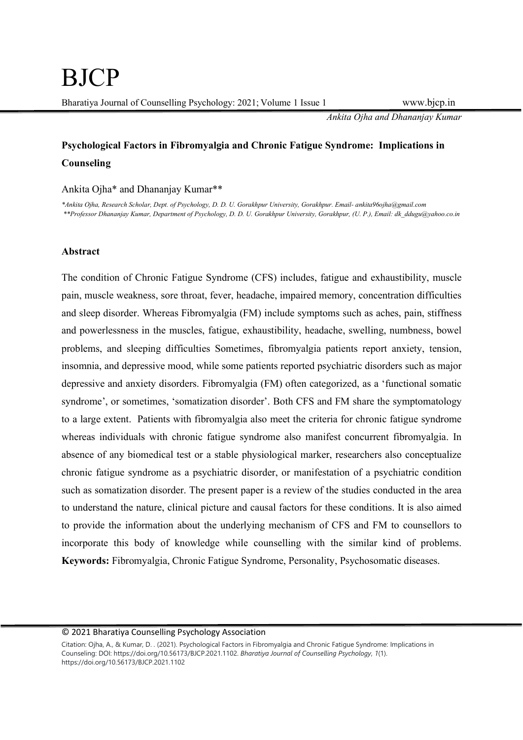Ankita Ojha and Dhananjay Kumar

# Psychological Factors in Fibromyalgia and Chronic Fatigue Syndrome: Implications in Counseling

Ankita Ojha\* and Dhananjay Kumar\*\*

\*Ankita Ojha, Research Scholar, Dept. of Psychology, D. D. U. Gorakhpur University, Gorakhpur. Email- ankita96ojha@gmail.com \*\*Professor Dhananjay Kumar, Department of Psychology, D. D. U. Gorakhpur University, Gorakhpur, (U. P.), Email: dk\_ddugu@yahoo.co.in

#### Abstract

The condition of Chronic Fatigue Syndrome (CFS) includes, fatigue and exhaustibility, muscle pain, muscle weakness, sore throat, fever, headache, impaired memory, concentration difficulties and sleep disorder. Whereas Fibromyalgia (FM) include symptoms such as aches, pain, stiffness and powerlessness in the muscles, fatigue, exhaustibility, headache, swelling, numbness, bowel problems, and sleeping difficulties Sometimes, fibromyalgia patients report anxiety, tension, insomnia, and depressive mood, while some patients reported psychiatric disorders such as major depressive and anxiety disorders. Fibromyalgia (FM) often categorized, as a 'functional somatic syndrome', or sometimes, 'somatization disorder'. Both CFS and FM share the symptomatology to a large extent. Patients with fibromyalgia also meet the criteria for chronic fatigue syndrome whereas individuals with chronic fatigue syndrome also manifest concurrent fibromyalgia. In absence of any biomedical test or a stable physiological marker, researchers also conceptualize chronic fatigue syndrome as a psychiatric disorder, or manifestation of a psychiatric condition such as somatization disorder. The present paper is a review of the studies conducted in the area to understand the nature, clinical picture and causal factors for these conditions. It is also aimed to provide the information about the underlying mechanism of CFS and FM to counsellors to incorporate this body of knowledge while counselling with the similar kind of problems. Keywords: Fibromyalgia, Chronic Fatigue Syndrome, Personality, Psychosomatic diseases.

Citation: Ojha, A., & Kumar, D. . (2021). Psychological Factors in Fibromyalgia and Chronic Fatigue Syndrome: Implications in Counseling: DOI: https://doi.org/10.56173/BJCP.2021.1102. Bharatiya Journal of Counselling Psychology, 1(1). https://doi.org/10.56173/BJCP.2021.1102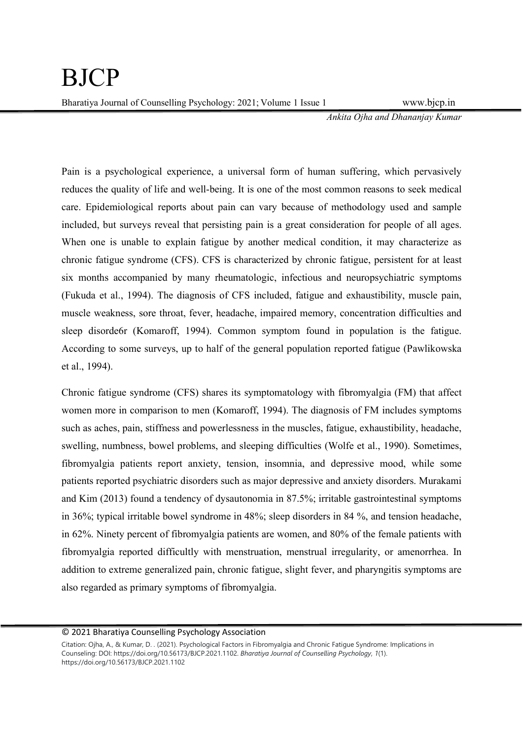Ankita Ojha and Dhananjay Kumar

Pain is a psychological experience, a universal form of human suffering, which pervasively reduces the quality of life and well-being. It is one of the most common reasons to seek medical care. Epidemiological reports about pain can vary because of methodology used and sample included, but surveys reveal that persisting pain is a great consideration for people of all ages. When one is unable to explain fatigue by another medical condition, it may characterize as chronic fatigue syndrome (CFS). CFS is characterized by chronic fatigue, persistent for at least six months accompanied by many rheumatologic, infectious and neuropsychiatric symptoms (Fukuda et al., 1994). The diagnosis of CFS included, fatigue and exhaustibility, muscle pain, muscle weakness, sore throat, fever, headache, impaired memory, concentration difficulties and sleep disorde6r (Komaroff, 1994). Common symptom found in population is the fatigue. According to some surveys, up to half of the general population reported fatigue (Pawlikowska et al., 1994).

Chronic fatigue syndrome (CFS) shares its symptomatology with fibromyalgia (FM) that affect women more in comparison to men (Komaroff, 1994). The diagnosis of FM includes symptoms such as aches, pain, stiffness and powerlessness in the muscles, fatigue, exhaustibility, headache, swelling, numbness, bowel problems, and sleeping difficulties (Wolfe et al., 1990). Sometimes, fibromyalgia patients report anxiety, tension, insomnia, and depressive mood, while some patients reported psychiatric disorders such as major depressive and anxiety disorders. Murakami and Kim (2013) found a tendency of dysautonomia in 87.5%; irritable gastrointestinal symptoms in 36%; typical irritable bowel syndrome in 48%; sleep disorders in 84 %, and tension headache, in 62%. Ninety percent of fibromyalgia patients are women, and 80% of the female patients with fibromyalgia reported difficultly with menstruation, menstrual irregularity, or amenorrhea. In addition to extreme generalized pain, chronic fatigue, slight fever, and pharyngitis symptoms are also regarded as primary symptoms of fibromyalgia.

Citation: Ojha, A., & Kumar, D. . (2021). Psychological Factors in Fibromyalgia and Chronic Fatigue Syndrome: Implications in Counseling: DOI: https://doi.org/10.56173/BJCP.2021.1102. Bharatiya Journal of Counselling Psychology, 1(1). https://doi.org/10.56173/BJCP.2021.1102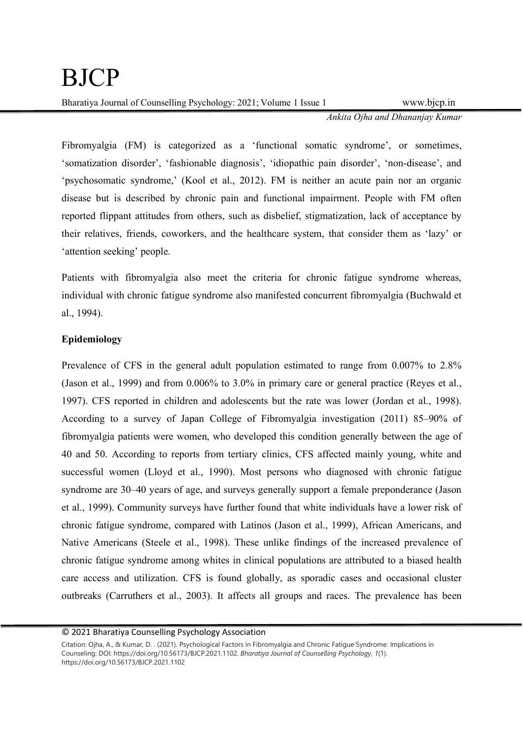Ankita Ojha and Dhananjay Kumar

Fibromyalgia (FM) is categorized as a 'functional somatic syndrome', or sometimes, 'somatization disorder', 'fashionable diagnosis', 'idiopathic pain disorder', 'non-disease', and 'psychosomatic syndrome,' (Kool et al., 2012). FM is neither an acute pain nor an organic disease but is described by chronic pain and functional impairment. People with FM often reported flippant attitudes from others, such as disbelief, stigmatization, lack of acceptance by their relatives, friends, coworkers, and the healthcare system, that consider them as 'lazy' or 'attention seeking' people.

Patients with fibromyalgia also meet the criteria for chronic fatigue syndrome whereas, individual with chronic fatigue syndrome also manifested concurrent fibromyalgia (Buchwald et al., 1994).

## Epidemiology

Prevalence of CFS in the general adult population estimated to range from 0.007% to 2.8% (Jason et al., 1999) and from 0.006% to 3.0% in primary care or general practice (Reyes et al., 1997). CFS reported in children and adolescents but the rate was lower (Jordan et al., 1998). According to a survey of Japan College of Fibromyalgia investigation (2011) 85–90% of fibromyalgia patients were women, who developed this condition generally between the age of 40 and 50. According to reports from tertiary clinics, CFS affected mainly young, white and successful women (Lloyd et al., 1990). Most persons who diagnosed with chronic fatigue syndrome are 30–40 years of age, and surveys generally support a female preponderance (Jason et al., 1999). Community surveys have further found that white individuals have a lower risk of chronic fatigue syndrome, compared with Latinos (Jason et al., 1999), African Americans, and Native Americans (Steele et al., 1998). These unlike findings of the increased prevalence of chronic fatigue syndrome among whites in clinical populations are attributed to a biased health care access and utilization. CFS is found globally, as sporadic cases and occasional cluster outbreaks (Carruthers et al., 2003). It affects all groups and races. The prevalence has been

Citation: Ojha, A., & Kumar, D. . (2021). Psychological Factors in Fibromyalgia and Chronic Fatigue Syndrome: Implications in Counseling: DOI: https://doi.org/10.56173/BJCP.2021.1102. Bharatiya Journal of Counselling Psychology, 1(1). https://doi.org/10.56173/BJCP.2021.1102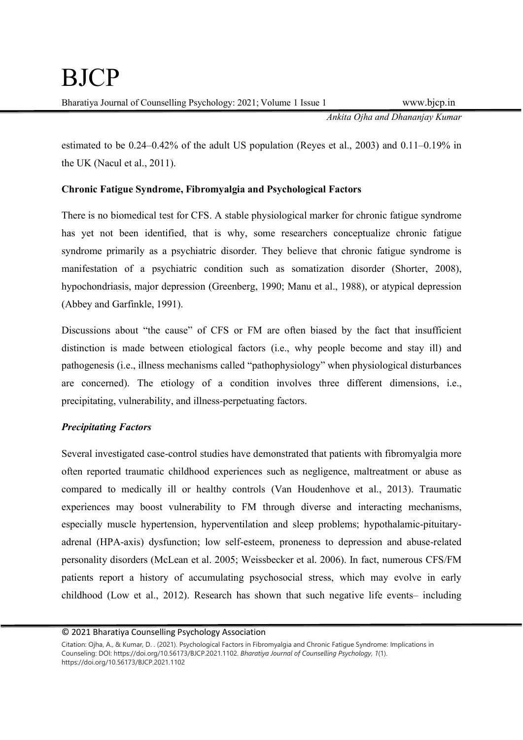Ankita Ojha and Dhananjay Kumar

estimated to be 0.24–0.42% of the adult US population (Reyes et al., 2003) and 0.11–0.19% in the UK (Nacul et al., 2011).

## Chronic Fatigue Syndrome, Fibromyalgia and Psychological Factors

There is no biomedical test for CFS. A stable physiological marker for chronic fatigue syndrome has yet not been identified, that is why, some researchers conceptualize chronic fatigue syndrome primarily as a psychiatric disorder. They believe that chronic fatigue syndrome is manifestation of a psychiatric condition such as somatization disorder (Shorter, 2008), hypochondriasis, major depression (Greenberg, 1990; Manu et al., 1988), or atypical depression (Abbey and Garfinkle, 1991).

Discussions about "the cause" of CFS or FM are often biased by the fact that insufficient distinction is made between etiological factors (i.e., why people become and stay ill) and pathogenesis (i.e., illness mechanisms called "pathophysiology" when physiological disturbances are concerned). The etiology of a condition involves three different dimensions, i.e., precipitating, vulnerability, and illness-perpetuating factors.

## Precipitating Factors

Several investigated case-control studies have demonstrated that patients with fibromyalgia more often reported traumatic childhood experiences such as negligence, maltreatment or abuse as compared to medically ill or healthy controls (Van Houdenhove et al., 2013). Traumatic experiences may boost vulnerability to FM through diverse and interacting mechanisms, especially muscle hypertension, hyperventilation and sleep problems; hypothalamic-pituitaryadrenal (HPA-axis) dysfunction; low self-esteem, proneness to depression and abuse-related personality disorders (McLean et al. 2005; Weissbecker et al. 2006). In fact, numerous CFS/FM patients report a history of accumulating psychosocial stress, which may evolve in early childhood (Low et al., 2012). Research has shown that such negative life events– including

<sup>© 2021</sup> Bharatiya Counselling Psychology Association

Citation: Ojha, A., & Kumar, D. . (2021). Psychological Factors in Fibromyalgia and Chronic Fatigue Syndrome: Implications in Counseling: DOI: https://doi.org/10.56173/BJCP.2021.1102. Bharatiya Journal of Counselling Psychology, 1(1). https://doi.org/10.56173/BJCP.2021.1102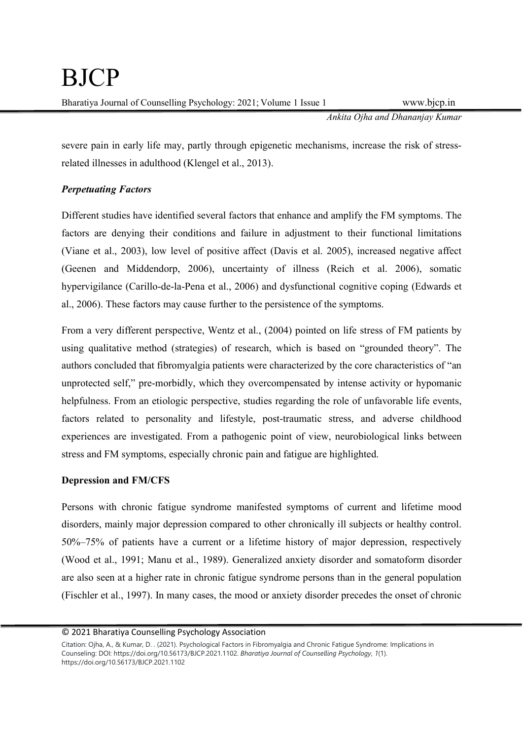Ankita Ojha and Dhananjay Kumar

severe pain in early life may, partly through epigenetic mechanisms, increase the risk of stressrelated illnesses in adulthood (Klengel et al., 2013).

## Perpetuating Factors

Different studies have identified several factors that enhance and amplify the FM symptoms. The factors are denying their conditions and failure in adjustment to their functional limitations (Viane et al., 2003), low level of positive affect (Davis et al. 2005), increased negative affect (Geenen and Middendorp, 2006), uncertainty of illness (Reich et al. 2006), somatic hypervigilance (Carillo-de-la-Pena et al., 2006) and dysfunctional cognitive coping (Edwards et al., 2006). These factors may cause further to the persistence of the symptoms.

From a very different perspective, Wentz et al., (2004) pointed on life stress of FM patients by using qualitative method (strategies) of research, which is based on "grounded theory". The authors concluded that fibromyalgia patients were characterized by the core characteristics of "an unprotected self," pre-morbidly, which they overcompensated by intense activity or hypomanic helpfulness. From an etiologic perspective, studies regarding the role of unfavorable life events, factors related to personality and lifestyle, post-traumatic stress, and adverse childhood experiences are investigated. From a pathogenic point of view, neurobiological links between stress and FM symptoms, especially chronic pain and fatigue are highlighted.

## Depression and FM/CFS

Persons with chronic fatigue syndrome manifested symptoms of current and lifetime mood disorders, mainly major depression compared to other chronically ill subjects or healthy control. 50%–75% of patients have a current or a lifetime history of major depression, respectively (Wood et al., 1991; Manu et al., 1989). Generalized anxiety disorder and somatoform disorder are also seen at a higher rate in chronic fatigue syndrome persons than in the general population (Fischler et al., 1997). In many cases, the mood or anxiety disorder precedes the onset of chronic

<sup>© 2021</sup> Bharatiya Counselling Psychology Association

Citation: Ojha, A., & Kumar, D. . (2021). Psychological Factors in Fibromyalgia and Chronic Fatigue Syndrome: Implications in Counseling: DOI: https://doi.org/10.56173/BJCP.2021.1102. Bharatiya Journal of Counselling Psychology, 1(1). https://doi.org/10.56173/BJCP.2021.1102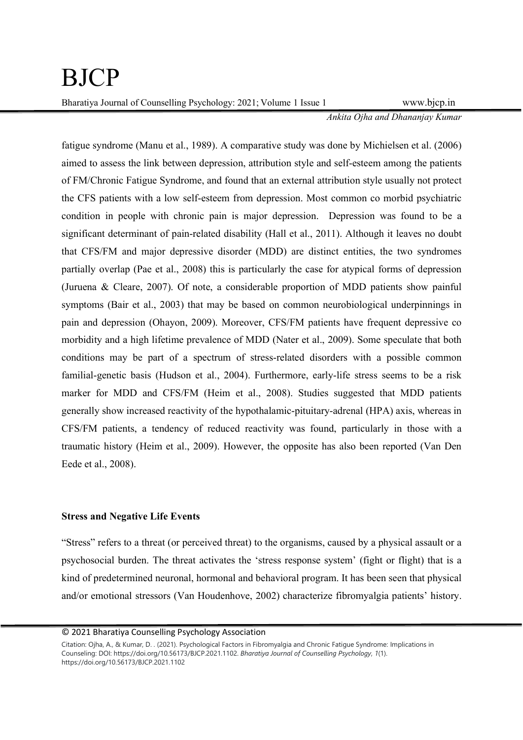# BJCP

Bharatiya Journal of Counselling Psychology: 2021; Volume 1 Issue 1 www.bjcp.in

Ankita Ojha and Dhananjay Kumar

fatigue syndrome (Manu et al., 1989). A comparative study was done by Michielsen et al. (2006) aimed to assess the link between depression, attribution style and self-esteem among the patients of FM/Chronic Fatigue Syndrome, and found that an external attribution style usually not protect the CFS patients with a low self-esteem from depression. Most common co morbid psychiatric condition in people with chronic pain is major depression. Depression was found to be a significant determinant of pain-related disability (Hall et al., 2011). Although it leaves no doubt that CFS/FM and major depressive disorder (MDD) are distinct entities, the two syndromes partially overlap (Pae et al., 2008) this is particularly the case for atypical forms of depression (Juruena & Cleare, 2007). Of note, a considerable proportion of MDD patients show painful symptoms (Bair et al., 2003) that may be based on common neurobiological underpinnings in pain and depression (Ohayon, 2009). Moreover, CFS/FM patients have frequent depressive co morbidity and a high lifetime prevalence of MDD (Nater et al., 2009). Some speculate that both conditions may be part of a spectrum of stress-related disorders with a possible common familial-genetic basis (Hudson et al., 2004). Furthermore, early-life stress seems to be a risk marker for MDD and CFS/FM (Heim et al., 2008). Studies suggested that MDD patients generally show increased reactivity of the hypothalamic-pituitary-adrenal (HPA) axis, whereas in CFS/FM patients, a tendency of reduced reactivity was found, particularly in those with a traumatic history (Heim et al., 2009). However, the opposite has also been reported (Van Den Eede et al., 2008).

## Stress and Negative Life Events

"Stress" refers to a threat (or perceived threat) to the organisms, caused by a physical assault or a psychosocial burden. The threat activates the 'stress response system' (fight or flight) that is a kind of predetermined neuronal, hormonal and behavioral program. It has been seen that physical and/or emotional stressors (Van Houdenhove, 2002) characterize fibromyalgia patients' history.

<sup>© 2021</sup> Bharatiya Counselling Psychology Association

Citation: Ojha, A., & Kumar, D. . (2021). Psychological Factors in Fibromyalgia and Chronic Fatigue Syndrome: Implications in Counseling: DOI: https://doi.org/10.56173/BJCP.2021.1102. Bharatiya Journal of Counselling Psychology, 1(1). https://doi.org/10.56173/BJCP.2021.1102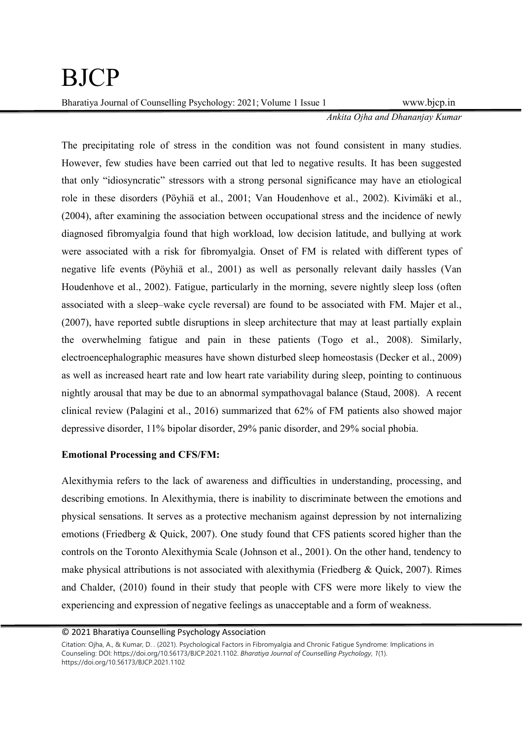Ankita Ojha and Dhananjay Kumar

The precipitating role of stress in the condition was not found consistent in many studies. However, few studies have been carried out that led to negative results. It has been suggested that only "idiosyncratic" stressors with a strong personal significance may have an etiological role in these disorders (Pöyhiä et al., 2001; Van Houdenhove et al., 2002). Kivimäki et al., (2004), after examining the association between occupational stress and the incidence of newly diagnosed fibromyalgia found that high workload, low decision latitude, and bullying at work were associated with a risk for fibromyalgia. Onset of FM is related with different types of negative life events (Pöyhiä et al., 2001) as well as personally relevant daily hassles (Van Houdenhove et al., 2002). Fatigue, particularly in the morning, severe nightly sleep loss (often associated with a sleep–wake cycle reversal) are found to be associated with FM. Majer et al., (2007), have reported subtle disruptions in sleep architecture that may at least partially explain the overwhelming fatigue and pain in these patients (Togo et al., 2008). Similarly, electroencephalographic measures have shown disturbed sleep homeostasis (Decker et al., 2009) as well as increased heart rate and low heart rate variability during sleep, pointing to continuous nightly arousal that may be due to an abnormal sympathovagal balance (Staud, 2008). A recent clinical review (Palagini et al., 2016) summarized that 62% of FM patients also showed major depressive disorder, 11% bipolar disorder, 29% panic disorder, and 29% social phobia.

#### Emotional Processing and CFS/FM:

Alexithymia refers to the lack of awareness and difficulties in understanding, processing, and describing emotions. In Alexithymia, there is inability to discriminate between the emotions and physical sensations. It serves as a protective mechanism against depression by not internalizing emotions (Friedberg & Quick, 2007). One study found that CFS patients scored higher than the controls on the Toronto Alexithymia Scale (Johnson et al., 2001). On the other hand, tendency to make physical attributions is not associated with alexithymia (Friedberg & Quick, 2007). Rimes and Chalder, (2010) found in their study that people with CFS were more likely to view the experiencing and expression of negative feelings as unacceptable and a form of weakness.

<sup>© 2021</sup> Bharatiya Counselling Psychology Association

Citation: Ojha, A., & Kumar, D. . (2021). Psychological Factors in Fibromyalgia and Chronic Fatigue Syndrome: Implications in Counseling: DOI: https://doi.org/10.56173/BJCP.2021.1102. Bharatiya Journal of Counselling Psychology, 1(1). https://doi.org/10.56173/BJCP.2021.1102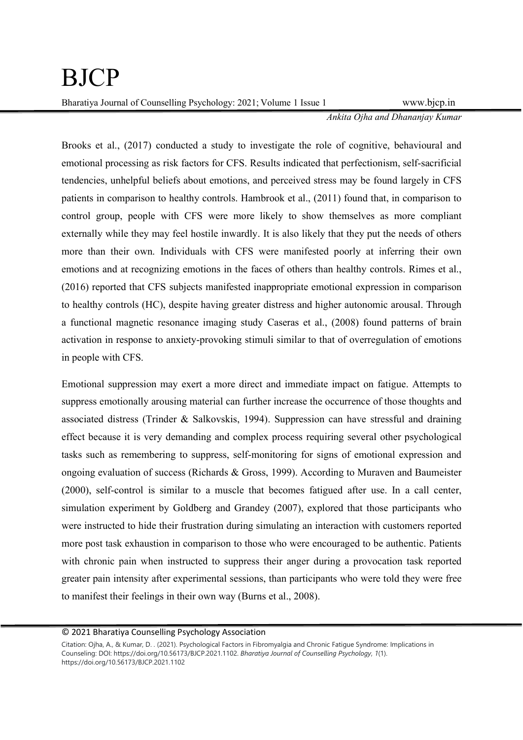Ankita Ojha and Dhananjay Kumar

Brooks et al., (2017) conducted a study to investigate the role of cognitive, behavioural and emotional processing as risk factors for CFS. Results indicated that perfectionism, self-sacrificial tendencies, unhelpful beliefs about emotions, and perceived stress may be found largely in CFS patients in comparison to healthy controls. Hambrook et al., (2011) found that, in comparison to control group, people with CFS were more likely to show themselves as more compliant externally while they may feel hostile inwardly. It is also likely that they put the needs of others more than their own. Individuals with CFS were manifested poorly at inferring their own emotions and at recognizing emotions in the faces of others than healthy controls. Rimes et al., (2016) reported that CFS subjects manifested inappropriate emotional expression in comparison to healthy controls (HC), despite having greater distress and higher autonomic arousal. Through a functional magnetic resonance imaging study Caseras et al., (2008) found patterns of brain activation in response to anxiety-provoking stimuli similar to that of overregulation of emotions in people with CFS.

Emotional suppression may exert a more direct and immediate impact on fatigue. Attempts to suppress emotionally arousing material can further increase the occurrence of those thoughts and associated distress (Trinder & Salkovskis, 1994). Suppression can have stressful and draining effect because it is very demanding and complex process requiring several other psychological tasks such as remembering to suppress, self-monitoring for signs of emotional expression and ongoing evaluation of success (Richards & Gross, 1999). According to Muraven and Baumeister (2000), self-control is similar to a muscle that becomes fatigued after use. In a call center, simulation experiment by Goldberg and Grandey (2007), explored that those participants who were instructed to hide their frustration during simulating an interaction with customers reported more post task exhaustion in comparison to those who were encouraged to be authentic. Patients with chronic pain when instructed to suppress their anger during a provocation task reported greater pain intensity after experimental sessions, than participants who were told they were free to manifest their feelings in their own way (Burns et al., 2008).

Citation: Ojha, A., & Kumar, D. . (2021). Psychological Factors in Fibromyalgia and Chronic Fatigue Syndrome: Implications in Counseling: DOI: https://doi.org/10.56173/BJCP.2021.1102. Bharatiya Journal of Counselling Psychology, 1(1). https://doi.org/10.56173/BJCP.2021.1102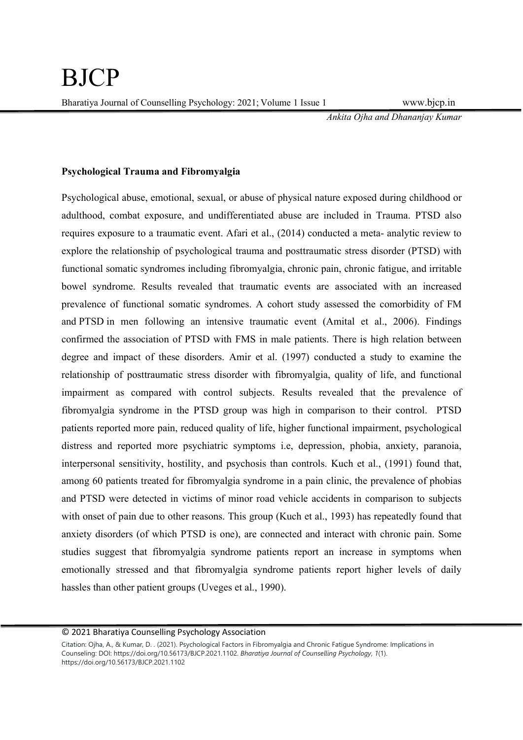Ankita Ojha and Dhananjay Kumar

### Psychological Trauma and Fibromyalgia

Psychological abuse, emotional, sexual, or abuse of physical nature exposed during childhood or adulthood, combat exposure, and undifferentiated abuse are included in Trauma. PTSD also requires exposure to a traumatic event. Afari et al., (2014) conducted a meta- analytic review to explore the relationship of psychological trauma and posttraumatic stress disorder (PTSD) with functional somatic syndromes including fibromyalgia, chronic pain, chronic fatigue, and irritable bowel syndrome. Results revealed that traumatic events are associated with an increased prevalence of functional somatic syndromes. A cohort study assessed the comorbidity of FM and PTSD in men following an intensive traumatic event (Amital et al., 2006). Findings confirmed the association of PTSD with FMS in male patients. There is high relation between degree and impact of these disorders. Amir et al. (1997) conducted a study to examine the relationship of posttraumatic stress disorder with fibromyalgia, quality of life, and functional impairment as compared with control subjects. Results revealed that the prevalence of fibromyalgia syndrome in the PTSD group was high in comparison to their control. PTSD patients reported more pain, reduced quality of life, higher functional impairment, psychological distress and reported more psychiatric symptoms i.e, depression, phobia, anxiety, paranoia, interpersonal sensitivity, hostility, and psychosis than controls. Kuch et al., (1991) found that, among 60 patients treated for fibromyalgia syndrome in a pain clinic, the prevalence of phobias and PTSD were detected in victims of minor road vehicle accidents in comparison to subjects with onset of pain due to other reasons. This group (Kuch et al., 1993) has repeatedly found that anxiety disorders (of which PTSD is one), are connected and interact with chronic pain. Some studies suggest that fibromyalgia syndrome patients report an increase in symptoms when emotionally stressed and that fibromyalgia syndrome patients report higher levels of daily hassles than other patient groups (Uveges et al., 1990).

Citation: Ojha, A., & Kumar, D. . (2021). Psychological Factors in Fibromyalgia and Chronic Fatigue Syndrome: Implications in Counseling: DOI: https://doi.org/10.56173/BJCP.2021.1102. Bharatiya Journal of Counselling Psychology, 1(1). https://doi.org/10.56173/BJCP.2021.1102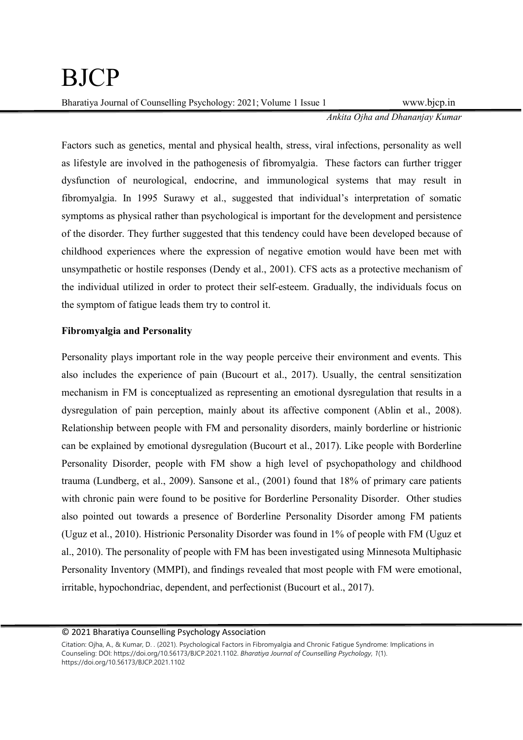Ankita Ojha and Dhananjay Kumar

Factors such as genetics, mental and physical health, stress, viral infections, personality as well as lifestyle are involved in the pathogenesis of fibromyalgia. These factors can further trigger dysfunction of neurological, endocrine, and immunological systems that may result in fibromyalgia. In 1995 Surawy et al., suggested that individual's interpretation of somatic symptoms as physical rather than psychological is important for the development and persistence of the disorder. They further suggested that this tendency could have been developed because of childhood experiences where the expression of negative emotion would have been met with unsympathetic or hostile responses (Dendy et al., 2001). CFS acts as a protective mechanism of the individual utilized in order to protect their self-esteem. Gradually, the individuals focus on the symptom of fatigue leads them try to control it.

## Fibromyalgia and Personality

Personality plays important role in the way people perceive their environment and events. This also includes the experience of pain (Bucourt et al., 2017). Usually, the central sensitization mechanism in FM is conceptualized as representing an emotional dysregulation that results in a dysregulation of pain perception, mainly about its affective component (Ablin et al., 2008). Relationship between people with FM and personality disorders, mainly borderline or histrionic can be explained by emotional dysregulation (Bucourt et al., 2017). Like people with Borderline Personality Disorder, people with FM show a high level of psychopathology and childhood trauma (Lundberg, et al., 2009). Sansone et al., (2001) found that 18% of primary care patients with chronic pain were found to be positive for Borderline Personality Disorder. Other studies also pointed out towards a presence of Borderline Personality Disorder among FM patients (Uguz et al., 2010). Histrionic Personality Disorder was found in 1% of people with FM (Uguz et al., 2010). The personality of people with FM has been investigated using Minnesota Multiphasic Personality Inventory (MMPI), and findings revealed that most people with FM were emotional, irritable, hypochondriac, dependent, and perfectionist (Bucourt et al., 2017).

Citation: Ojha, A., & Kumar, D. . (2021). Psychological Factors in Fibromyalgia and Chronic Fatigue Syndrome: Implications in Counseling: DOI: https://doi.org/10.56173/BJCP.2021.1102. Bharatiya Journal of Counselling Psychology, 1(1). https://doi.org/10.56173/BJCP.2021.1102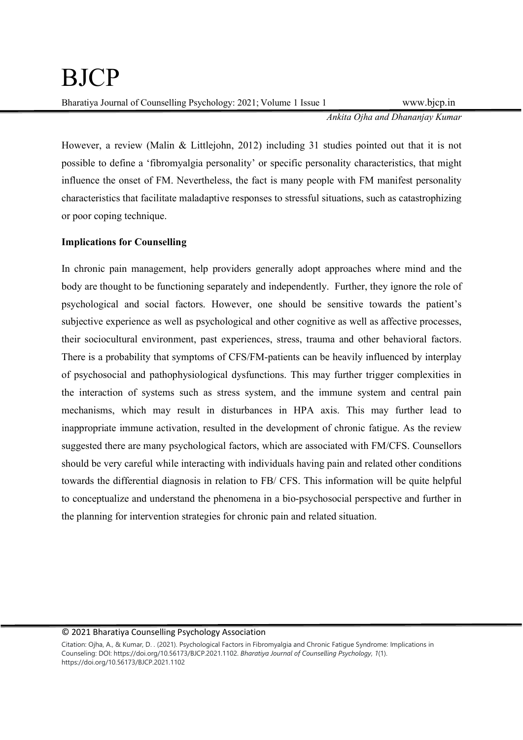Ankita Ojha and Dhananjay Kumar

However, a review (Malin & Littlejohn, 2012) including 31 studies pointed out that it is not possible to define a 'fibromyalgia personality' or specific personality characteristics, that might influence the onset of FM. Nevertheless, the fact is many people with FM manifest personality characteristics that facilitate maladaptive responses to stressful situations, such as catastrophizing or poor coping technique.

## Implications for Counselling

In chronic pain management, help providers generally adopt approaches where mind and the body are thought to be functioning separately and independently. Further, they ignore the role of psychological and social factors. However, one should be sensitive towards the patient's subjective experience as well as psychological and other cognitive as well as affective processes, their sociocultural environment, past experiences, stress, trauma and other behavioral factors. There is a probability that symptoms of CFS/FM-patients can be heavily influenced by interplay of psychosocial and pathophysiological dysfunctions. This may further trigger complexities in the interaction of systems such as stress system, and the immune system and central pain mechanisms, which may result in disturbances in HPA axis. This may further lead to inappropriate immune activation, resulted in the development of chronic fatigue. As the review suggested there are many psychological factors, which are associated with FM/CFS. Counsellors should be very careful while interacting with individuals having pain and related other conditions towards the differential diagnosis in relation to FB/ CFS. This information will be quite helpful to conceptualize and understand the phenomena in a bio-psychosocial perspective and further in the planning for intervention strategies for chronic pain and related situation.

#### © 2021 Bharatiya Counselling Psychology Association

Citation: Ojha, A., & Kumar, D. . (2021). Psychological Factors in Fibromyalgia and Chronic Fatigue Syndrome: Implications in Counseling: DOI: https://doi.org/10.56173/BJCP.2021.1102. Bharatiya Journal of Counselling Psychology, 1(1). https://doi.org/10.56173/BJCP.2021.1102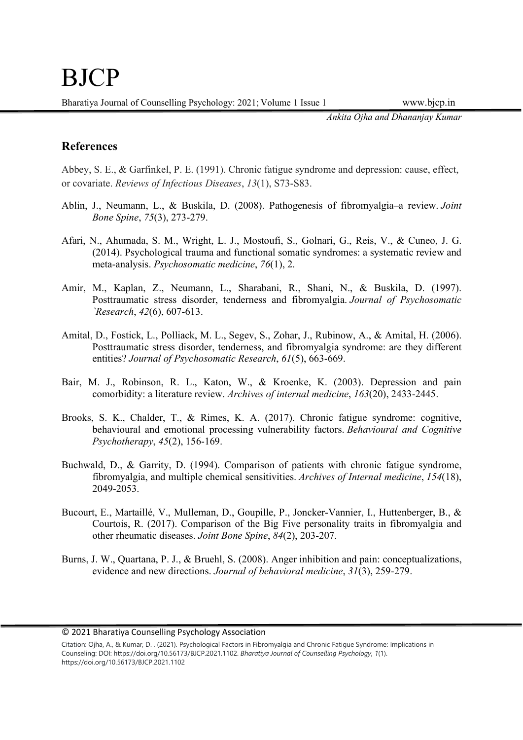Ankita Ojha and Dhananjay Kumar

## References

Abbey, S. E., & Garfinkel, P. E. (1991). Chronic fatigue syndrome and depression: cause, effect, or covariate. Reviews of Infectious Diseases, 13(1), S73-S83.

- Ablin, J., Neumann, L., & Buskila, D. (2008). Pathogenesis of fibromyalgia–a review. Joint Bone Spine, 75(3), 273-279.
- Afari, N., Ahumada, S. M., Wright, L. J., Mostoufi, S., Golnari, G., Reis, V., & Cuneo, J. G. (2014). Psychological trauma and functional somatic syndromes: a systematic review and meta-analysis. Psychosomatic medicine, 76(1), 2.
- Amir, M., Kaplan, Z., Neumann, L., Sharabani, R., Shani, N., & Buskila, D. (1997). Posttraumatic stress disorder, tenderness and fibromyalgia. Journal of Psychosomatic `Research, 42(6), 607-613.
- Amital, D., Fostick, L., Polliack, M. L., Segev, S., Zohar, J., Rubinow, A., & Amital, H. (2006). Posttraumatic stress disorder, tenderness, and fibromyalgia syndrome: are they different entities? Journal of Psychosomatic Research, 61(5), 663-669.
- Bair, M. J., Robinson, R. L., Katon, W., & Kroenke, K. (2003). Depression and pain comorbidity: a literature review. Archives of internal medicine, 163(20), 2433-2445.
- Brooks, S. K., Chalder, T., & Rimes, K. A. (2017). Chronic fatigue syndrome: cognitive, behavioural and emotional processing vulnerability factors. Behavioural and Cognitive Psychotherapy, 45(2), 156-169.
- Buchwald, D., & Garrity, D. (1994). Comparison of patients with chronic fatigue syndrome, fibromyalgia, and multiple chemical sensitivities. Archives of Internal medicine, 154(18), 2049-2053.
- Bucourt, E., Martaillé, V., Mulleman, D., Goupille, P., Joncker-Vannier, I., Huttenberger, B., & Courtois, R. (2017). Comparison of the Big Five personality traits in fibromyalgia and other rheumatic diseases. Joint Bone Spine, 84(2), 203-207.
- Burns, J. W., Quartana, P. J., & Bruehl, S. (2008). Anger inhibition and pain: conceptualizations, evidence and new directions. Journal of behavioral medicine, 31(3), 259-279.

Citation: Ojha, A., & Kumar, D. . (2021). Psychological Factors in Fibromyalgia and Chronic Fatigue Syndrome: Implications in Counseling: DOI: https://doi.org/10.56173/BJCP.2021.1102. Bharatiya Journal of Counselling Psychology, 1(1). https://doi.org/10.56173/BJCP.2021.1102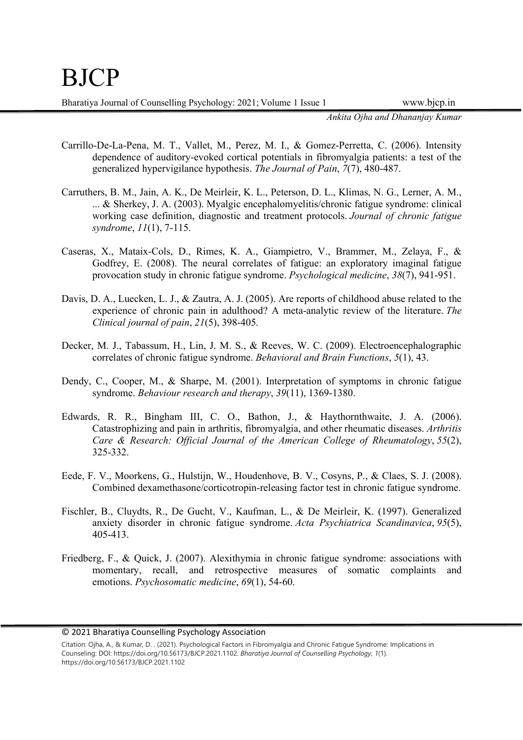Ankita Ojha and Dhananjay Kumar

- Carrillo-De-La-Pena, M. T., Vallet, M., Perez, M. I., & Gomez-Perretta, C. (2006). Intensity dependence of auditory-evoked cortical potentials in fibromyalgia patients: a test of the generalized hypervigilance hypothesis. The Journal of Pain, 7(7), 480-487.
- Carruthers, B. M., Jain, A. K., De Meirleir, K. L., Peterson, D. L., Klimas, N. G., Lerner, A. M., ... & Sherkey, J. A. (2003). Myalgic encephalomyelitis/chronic fatigue syndrome: clinical working case definition, diagnostic and treatment protocols. Journal of chronic fatigue syndrome, 11(1), 7-115.
- Caseras, X., Mataix-Cols, D., Rimes, K. A., Giampietro, V., Brammer, M., Zelaya, F., & Godfrey, E. (2008). The neural correlates of fatigue: an exploratory imaginal fatigue provocation study in chronic fatigue syndrome. Psychological medicine, 38(7), 941-951.
- Davis, D. A., Luecken, L. J., & Zautra, A. J. (2005). Are reports of childhood abuse related to the experience of chronic pain in adulthood? A meta-analytic review of the literature. The Clinical journal of pain, 21(5), 398-405.
- Decker, M. J., Tabassum, H., Lin, J. M. S., & Reeves, W. C. (2009). Electroencephalographic correlates of chronic fatigue syndrome. Behavioral and Brain Functions, 5(1), 43.
- Dendy, C., Cooper, M., & Sharpe, M. (2001). Interpretation of symptoms in chronic fatigue syndrome. Behaviour research and therapy, 39(11), 1369-1380.
- Edwards, R. R., Bingham III, C. O., Bathon, J., & Haythornthwaite, J. A. (2006). Catastrophizing and pain in arthritis, fibromyalgia, and other rheumatic diseases. Arthritis Care & Research: Official Journal of the American College of Rheumatology, 55(2), 325-332.
- Eede, F. V., Moorkens, G., Hulstijn, W., Houdenhove, B. V., Cosyns, P., & Claes, S. J. (2008). Combined dexamethasone/corticotropin-releasing factor test in chronic fatigue syndrome.
- Fischler, B., Cluydts, R., De Gucht, V., Kaufman, L., & De Meirleir, K. (1997). Generalized anxiety disorder in chronic fatigue syndrome. Acta Psychiatrica Scandinavica, 95(5), 405-413.
- Friedberg, F., & Quick, J. (2007). Alexithymia in chronic fatigue syndrome: associations with momentary, recall, and retrospective measures of somatic complaints and emotions. Psychosomatic medicine, 69(1), 54-60.

Citation: Ojha, A., & Kumar, D. . (2021). Psychological Factors in Fibromyalgia and Chronic Fatigue Syndrome: Implications in Counseling: DOI: https://doi.org/10.56173/BJCP.2021.1102. Bharatiya Journal of Counselling Psychology, 1(1). https://doi.org/10.56173/BJCP.2021.1102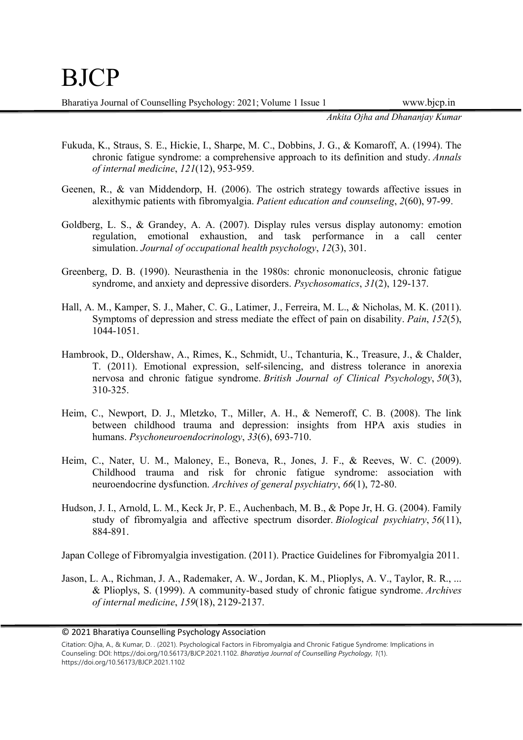Ankita Ojha and Dhananjay Kumar

- Fukuda, K., Straus, S. E., Hickie, I., Sharpe, M. C., Dobbins, J. G., & Komaroff, A. (1994). The chronic fatigue syndrome: a comprehensive approach to its definition and study. Annals of internal medicine, 121(12), 953-959.
- Geenen, R., & van Middendorp, H. (2006). The ostrich strategy towards affective issues in alexithymic patients with fibromyalgia. Patient education and counseling, 2(60), 97-99.
- Goldberg, L. S., & Grandey, A. A. (2007). Display rules versus display autonomy: emotion regulation, emotional exhaustion, and task performance in a call center simulation. Journal of occupational health psychology, 12(3), 301.
- Greenberg, D. B. (1990). Neurasthenia in the 1980s: chronic mononucleosis, chronic fatigue syndrome, and anxiety and depressive disorders. *Psychosomatics*, 31(2), 129-137.
- Hall, A. M., Kamper, S. J., Maher, C. G., Latimer, J., Ferreira, M. L., & Nicholas, M. K. (2011). Symptoms of depression and stress mediate the effect of pain on disability. Pain, 152(5), 1044-1051.
- Hambrook, D., Oldershaw, A., Rimes, K., Schmidt, U., Tchanturia, K., Treasure, J., & Chalder, T. (2011). Emotional expression, self‐silencing, and distress tolerance in anorexia nervosa and chronic fatigue syndrome. British Journal of Clinical Psychology, 50(3), 310-325.
- Heim, C., Newport, D. J., Mletzko, T., Miller, A. H., & Nemeroff, C. B. (2008). The link between childhood trauma and depression: insights from HPA axis studies in humans. Psychoneuroendocrinology, 33(6), 693-710.
- Heim, C., Nater, U. M., Maloney, E., Boneva, R., Jones, J. F., & Reeves, W. C. (2009). Childhood trauma and risk for chronic fatigue syndrome: association with neuroendocrine dysfunction. Archives of general psychiatry, 66(1), 72-80.
- Hudson, J. I., Arnold, L. M., Keck Jr, P. E., Auchenbach, M. B., & Pope Jr, H. G. (2004). Family study of fibromyalgia and affective spectrum disorder. Biological psychiatry, 56(11), 884-891.

Japan College of Fibromyalgia investigation. (2011). Practice Guidelines for Fibromyalgia 2011.

Jason, L. A., Richman, J. A., Rademaker, A. W., Jordan, K. M., Plioplys, A. V., Taylor, R. R., ... & Plioplys, S. (1999). A community-based study of chronic fatigue syndrome. Archives of internal medicine, 159(18), 2129-2137.

© 2021 Bharatiya Counselling Psychology Association

Citation: Ojha, A., & Kumar, D. . (2021). Psychological Factors in Fibromyalgia and Chronic Fatigue Syndrome: Implications in Counseling: DOI: https://doi.org/10.56173/BJCP.2021.1102. Bharatiya Journal of Counselling Psychology, 1(1). https://doi.org/10.56173/BJCP.2021.1102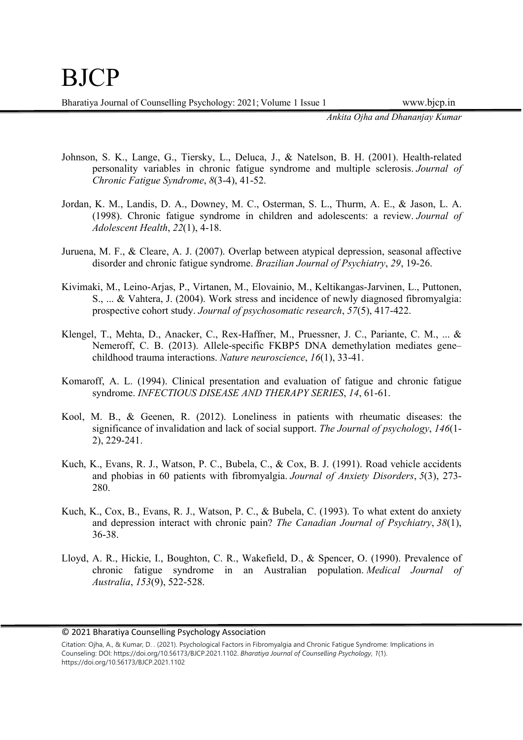Ankita Ojha and Dhananjay Kumar

- Johnson, S. K., Lange, G., Tiersky, L., Deluca, J., & Natelson, B. H. (2001). Health-related personality variables in chronic fatigue syndrome and multiple sclerosis. Journal of Chronic Fatigue Syndrome, 8(3-4), 41-52.
- Jordan, K. M., Landis, D. A., Downey, M. C., Osterman, S. L., Thurm, A. E., & Jason, L. A. (1998). Chronic fatigue syndrome in children and adolescents: a review. Journal of Adolescent Health, 22(1), 4-18.
- Juruena, M. F., & Cleare, A. J. (2007). Overlap between atypical depression, seasonal affective disorder and chronic fatigue syndrome. Brazilian Journal of Psychiatry, 29, 19-26.
- Kivimaki, M., Leino-Arjas, P., Virtanen, M., Elovainio, M., Keltikangas-Jarvinen, L., Puttonen, S., ... & Vahtera, J. (2004). Work stress and incidence of newly diagnosed fibromyalgia: prospective cohort study. Journal of psychosomatic research, 57(5), 417-422.
- Klengel, T., Mehta, D., Anacker, C., Rex-Haffner, M., Pruessner, J. C., Pariante, C. M., ... & Nemeroff, C. B. (2013). Allele-specific FKBP5 DNA demethylation mediates gene– childhood trauma interactions. Nature neuroscience, 16(1), 33-41.
- Komaroff, A. L. (1994). Clinical presentation and evaluation of fatigue and chronic fatigue syndrome. INFECTIOUS DISEASE AND THERAPY SERIES, 14, 61-61.
- Kool, M. B., & Geenen, R. (2012). Loneliness in patients with rheumatic diseases: the significance of invalidation and lack of social support. The Journal of psychology, 146(1-2), 229-241.
- Kuch, K., Evans, R. J., Watson, P. C., Bubela, C., & Cox, B. J. (1991). Road vehicle accidents and phobias in 60 patients with fibromyalgia. Journal of Anxiety Disorders, 5(3), 273- 280.
- Kuch, K., Cox, B., Evans, R. J., Watson, P. C., & Bubela, C. (1993). To what extent do anxiety and depression interact with chronic pain? The Canadian Journal of Psychiatry, 38(1), 36-38.
- Lloyd, A. R., Hickie, I., Boughton, C. R., Wakefield, D., & Spencer, O. (1990). Prevalence of chronic fatigue syndrome in an Australian population. Medical Journal of Australia, 153(9), 522-528.

Citation: Ojha, A., & Kumar, D. . (2021). Psychological Factors in Fibromyalgia and Chronic Fatigue Syndrome: Implications in Counseling: DOI: https://doi.org/10.56173/BJCP.2021.1102. Bharatiya Journal of Counselling Psychology, 1(1). https://doi.org/10.56173/BJCP.2021.1102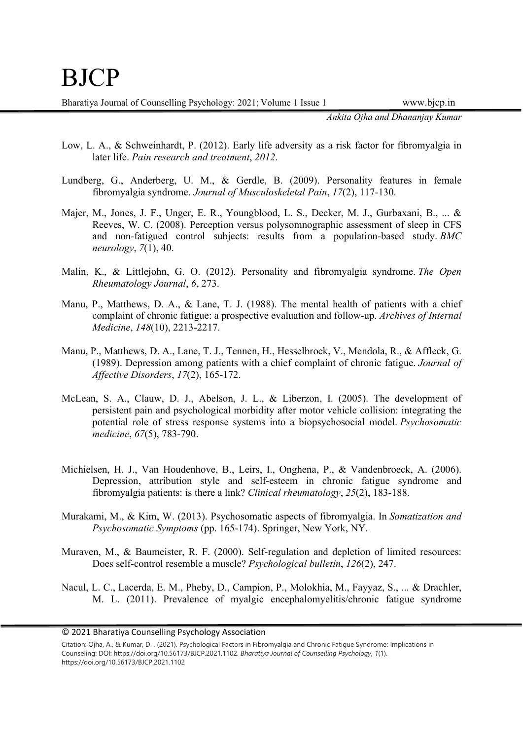Ankita Ojha and Dhananjay Kumar

- Low, L. A., & Schweinhardt, P. (2012). Early life adversity as a risk factor for fibromyalgia in later life. Pain research and treatment, 2012.
- Lundberg, G., Anderberg, U. M., & Gerdle, B. (2009). Personality features in female fibromyalgia syndrome. Journal of Musculoskeletal Pain, 17(2), 117-130.
- Majer, M., Jones, J. F., Unger, E. R., Youngblood, L. S., Decker, M. J., Gurbaxani, B., ... & Reeves, W. C. (2008). Perception versus polysomnographic assessment of sleep in CFS and non-fatigued control subjects: results from a population-based study. BMC neurology, 7(1), 40.
- Malin, K., & Littlejohn, G. O. (2012). Personality and fibromyalgia syndrome. The Open Rheumatology Journal, 6, 273.
- Manu, P., Matthews, D. A., & Lane, T. J. (1988). The mental health of patients with a chief complaint of chronic fatigue: a prospective evaluation and follow-up. Archives of Internal Medicine, 148(10), 2213-2217.
- Manu, P., Matthews, D. A., Lane, T. J., Tennen, H., Hesselbrock, V., Mendola, R., & Affleck, G. (1989). Depression among patients with a chief complaint of chronic fatigue. Journal of Affective Disorders, 17(2), 165-172.
- McLean, S. A., Clauw, D. J., Abelson, J. L., & Liberzon, I. (2005). The development of persistent pain and psychological morbidity after motor vehicle collision: integrating the potential role of stress response systems into a biopsychosocial model. Psychosomatic medicine, 67(5), 783-790.
- Michielsen, H. J., Van Houdenhove, B., Leirs, I., Onghena, P., & Vandenbroeck, A. (2006). Depression, attribution style and self-esteem in chronic fatigue syndrome and fibromyalgia patients: is there a link? Clinical rheumatology, 25(2), 183-188.
- Murakami, M., & Kim, W. (2013). Psychosomatic aspects of fibromyalgia. In Somatization and Psychosomatic Symptoms (pp. 165-174). Springer, New York, NY.
- Muraven, M., & Baumeister, R. F. (2000). Self-regulation and depletion of limited resources: Does self-control resemble a muscle? Psychological bulletin, 126(2), 247.
- Nacul, L. C., Lacerda, E. M., Pheby, D., Campion, P., Molokhia, M., Fayyaz, S., ... & Drachler, M. L. (2011). Prevalence of myalgic encephalomyelitis/chronic fatigue syndrome

Citation: Ojha, A., & Kumar, D. . (2021). Psychological Factors in Fibromyalgia and Chronic Fatigue Syndrome: Implications in Counseling: DOI: https://doi.org/10.56173/BJCP.2021.1102. Bharatiya Journal of Counselling Psychology, 1(1). https://doi.org/10.56173/BJCP.2021.1102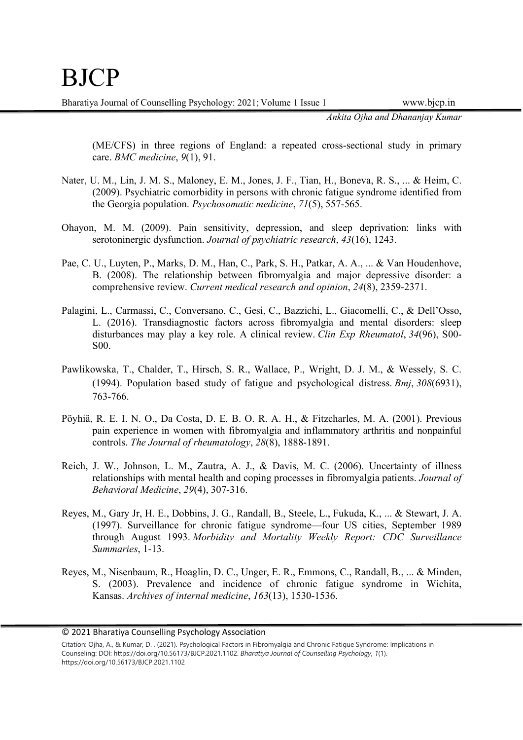Ankita Ojha and Dhananjay Kumar

(ME/CFS) in three regions of England: a repeated cross-sectional study in primary care. BMC medicine, 9(1), 91.

- Nater, U. M., Lin, J. M. S., Maloney, E. M., Jones, J. F., Tian, H., Boneva, R. S., ... & Heim, C. (2009). Psychiatric comorbidity in persons with chronic fatigue syndrome identified from the Georgia population. Psychosomatic medicine, 71(5), 557-565.
- Ohayon, M. M. (2009). Pain sensitivity, depression, and sleep deprivation: links with serotoninergic dysfunction. Journal of psychiatric research, 43(16), 1243.
- Pae, C. U., Luyten, P., Marks, D. M., Han, C., Park, S. H., Patkar, A. A., ... & Van Houdenhove, B. (2008). The relationship between fibromyalgia and major depressive disorder: a comprehensive review. Current medical research and opinion, 24(8), 2359-2371.
- Palagini, L., Carmassi, C., Conversano, C., Gesi, C., Bazzichi, L., Giacomelli, C., & Dell'Osso, L. (2016). Transdiagnostic factors across fibromyalgia and mental disorders: sleep disturbances may play a key role. A clinical review. Clin Exp Rheumatol, 34(96), S00- S00.
- Pawlikowska, T., Chalder, T., Hirsch, S. R., Wallace, P., Wright, D. J. M., & Wessely, S. C. (1994). Population based study of fatigue and psychological distress. Bmj, 308(6931), 763-766.
- Pöyhiä, R. E. I. N. O., Da Costa, D. E. B. O. R. A. H., & Fitzcharles, M. A. (2001). Previous pain experience in women with fibromyalgia and inflammatory arthritis and nonpainful controls. The Journal of rheumatology, 28(8), 1888-1891.
- Reich, J. W., Johnson, L. M., Zautra, A. J., & Davis, M. C. (2006). Uncertainty of illness relationships with mental health and coping processes in fibromyalgia patients. Journal of Behavioral Medicine, 29(4), 307-316.
- Reyes, M., Gary Jr, H. E., Dobbins, J. G., Randall, B., Steele, L., Fukuda, K., ... & Stewart, J. A. (1997). Surveillance for chronic fatigue syndrome—four US cities, September 1989 through August 1993. Morbidity and Mortality Weekly Report: CDC Surveillance Summaries, 1-13.
- Reyes, M., Nisenbaum, R., Hoaglin, D. C., Unger, E. R., Emmons, C., Randall, B., ... & Minden, S. (2003). Prevalence and incidence of chronic fatigue syndrome in Wichita, Kansas. Archives of internal medicine, 163(13), 1530-1536.

<sup>© 2021</sup> Bharatiya Counselling Psychology Association

Citation: Ojha, A., & Kumar, D. . (2021). Psychological Factors in Fibromyalgia and Chronic Fatigue Syndrome: Implications in Counseling: DOI: https://doi.org/10.56173/BJCP.2021.1102. Bharatiya Journal of Counselling Psychology, 1(1). https://doi.org/10.56173/BJCP.2021.1102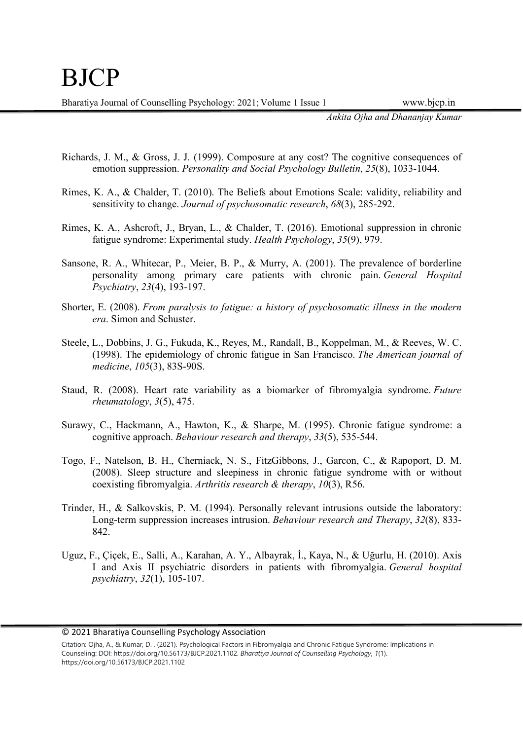Ankita Ojha and Dhananjay Kumar

- Richards, J. M., & Gross, J. J. (1999). Composure at any cost? The cognitive consequences of emotion suppression. Personality and Social Psychology Bulletin, 25(8), 1033-1044.
- Rimes, K. A., & Chalder, T. (2010). The Beliefs about Emotions Scale: validity, reliability and sensitivity to change. Journal of psychosomatic research, 68(3), 285-292.
- Rimes, K. A., Ashcroft, J., Bryan, L., & Chalder, T. (2016). Emotional suppression in chronic fatigue syndrome: Experimental study. Health Psychology, 35(9), 979.
- Sansone, R. A., Whitecar, P., Meier, B. P., & Murry, A. (2001). The prevalence of borderline personality among primary care patients with chronic pain. General Hospital Psychiatry, 23(4), 193-197.
- Shorter, E. (2008). From paralysis to fatigue: a history of psychosomatic illness in the modern era. Simon and Schuster.
- Steele, L., Dobbins, J. G., Fukuda, K., Reyes, M., Randall, B., Koppelman, M., & Reeves, W. C. (1998). The epidemiology of chronic fatigue in San Francisco. The American journal of medicine, 105(3), 83S-90S.
- Staud, R. (2008). Heart rate variability as a biomarker of fibromyalgia syndrome. Future rheumatology, 3(5), 475.
- Surawy, C., Hackmann, A., Hawton, K., & Sharpe, M. (1995). Chronic fatigue syndrome: a cognitive approach. Behaviour research and therapy, 33(5), 535-544.
- Togo, F., Natelson, B. H., Cherniack, N. S., FitzGibbons, J., Garcon, C., & Rapoport, D. M. (2008). Sleep structure and sleepiness in chronic fatigue syndrome with or without coexisting fibromyalgia. Arthritis research & therapy, 10(3), R56.
- Trinder, H., & Salkovskis, P. M. (1994). Personally relevant intrusions outside the laboratory: Long-term suppression increases intrusion. Behaviour research and Therapy, 32(8), 833-842.
- Uguz, F., Çiçek, E., Salli, A., Karahan, A. Y., Albayrak, İ., Kaya, N., & Uğurlu, H. (2010). Axis I and Axis II psychiatric disorders in patients with fibromyalgia. General hospital psychiatry, 32(1), 105-107.

Citation: Ojha, A., & Kumar, D. . (2021). Psychological Factors in Fibromyalgia and Chronic Fatigue Syndrome: Implications in Counseling: DOI: https://doi.org/10.56173/BJCP.2021.1102. Bharatiya Journal of Counselling Psychology, 1(1). https://doi.org/10.56173/BJCP.2021.1102